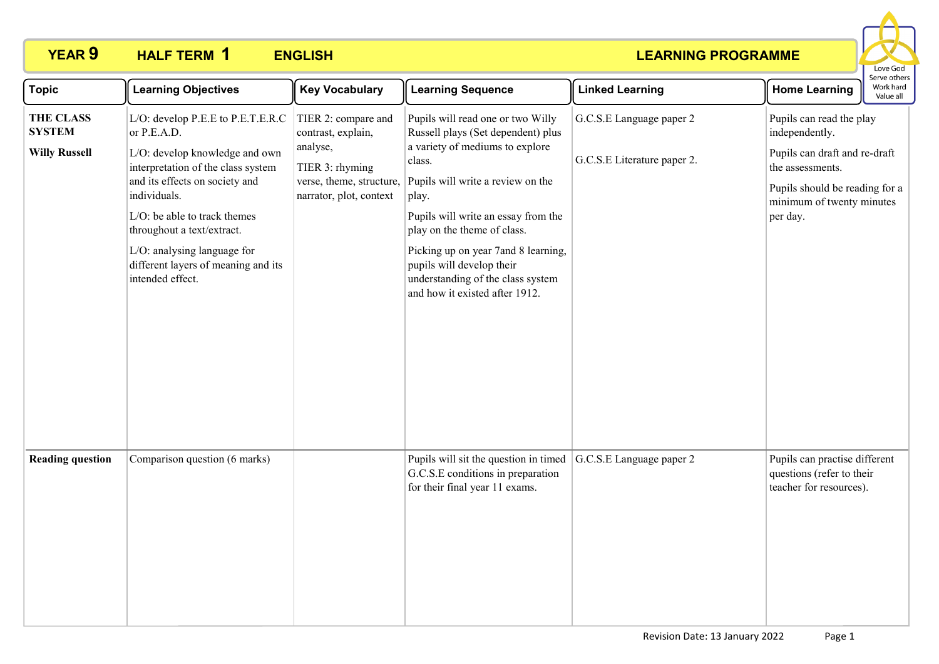

| <b>Topic</b>                                              | <b>Learning Objectives</b>                                                                                                                                                                                                                                                                                                         | <b>Key Vocabulary</b>                                                                                                           | <b>Learning Sequence</b>                                                                                                                                                                                                                                                                                                                                                            | <b>Linked Learning</b>                                  | <b>Home Learning</b>                                                                                                                                                       | serve otriers<br>Work hard<br>Value all |
|-----------------------------------------------------------|------------------------------------------------------------------------------------------------------------------------------------------------------------------------------------------------------------------------------------------------------------------------------------------------------------------------------------|---------------------------------------------------------------------------------------------------------------------------------|-------------------------------------------------------------------------------------------------------------------------------------------------------------------------------------------------------------------------------------------------------------------------------------------------------------------------------------------------------------------------------------|---------------------------------------------------------|----------------------------------------------------------------------------------------------------------------------------------------------------------------------------|-----------------------------------------|
| <b>THE CLASS</b><br><b>SYSTEM</b><br><b>Willy Russell</b> | L/O: develop P.E.E to P.E.T.E.R.C<br>or P.E.A.D.<br>L/O: develop knowledge and own<br>interpretation of the class system<br>and its effects on society and<br>individuals.<br>L/O: be able to track themes<br>throughout a text/extract.<br>L/O: analysing language for<br>different layers of meaning and its<br>intended effect. | TIER 2: compare and<br>contrast, explain,<br>analyse,<br>TIER 3: rhyming<br>verse, theme, structure,<br>narrator, plot, context | Pupils will read one or two Willy<br>Russell plays (Set dependent) plus<br>a variety of mediums to explore<br>class.<br>Pupils will write a review on the<br>play.<br>Pupils will write an essay from the<br>play on the theme of class.<br>Picking up on year 7and 8 learning,<br>pupils will develop their<br>understanding of the class system<br>and how it existed after 1912. | G.C.S.E Language paper 2<br>G.C.S.E Literature paper 2. | Pupils can read the play<br>independently.<br>Pupils can draft and re-draft<br>the assessments.<br>Pupils should be reading for a<br>minimum of twenty minutes<br>per day. |                                         |
| <b>Reading question</b>                                   | Comparison question (6 marks)                                                                                                                                                                                                                                                                                                      |                                                                                                                                 | Pupils will sit the question in timed<br>G.C.S.E conditions in preparation<br>for their final year 11 exams.                                                                                                                                                                                                                                                                        | G.C.S.E Language paper 2                                | Pupils can practise different<br>questions (refer to their<br>teacher for resources).                                                                                      |                                         |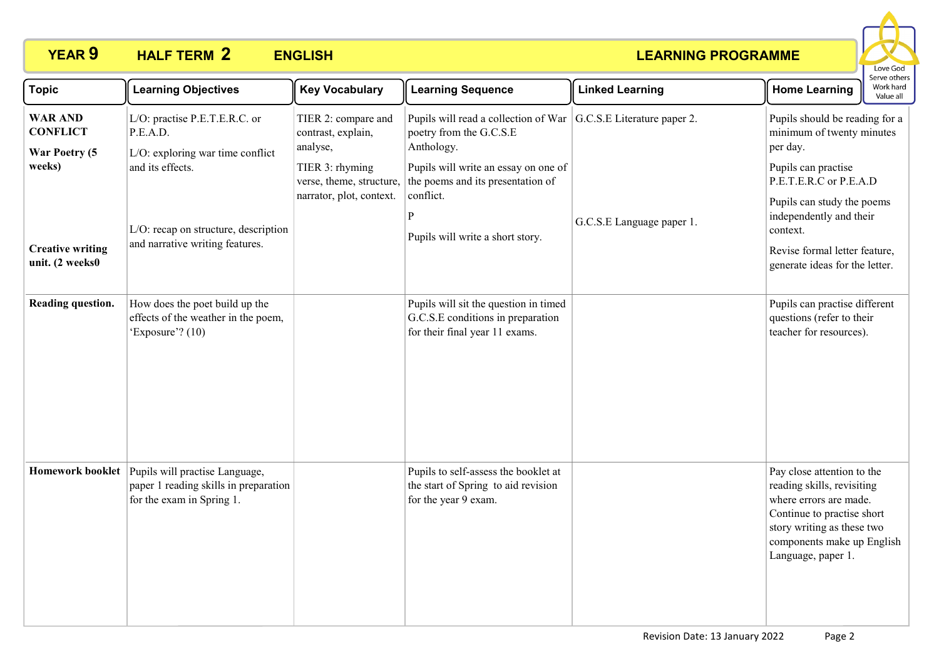

| <b>Topic</b>                                                                                               | <b>Learning Objectives</b>                                                                                                                                                   | <b>Key Vocabulary</b>                                                                                                            | <b>Learning Sequence</b>                                                                                                                                                                                                                         | <b>Linked Learning</b>    | Serve others<br>Work hard<br><b>Home Learning</b><br>Value all                                                                                                                                                                                                   |
|------------------------------------------------------------------------------------------------------------|------------------------------------------------------------------------------------------------------------------------------------------------------------------------------|----------------------------------------------------------------------------------------------------------------------------------|--------------------------------------------------------------------------------------------------------------------------------------------------------------------------------------------------------------------------------------------------|---------------------------|------------------------------------------------------------------------------------------------------------------------------------------------------------------------------------------------------------------------------------------------------------------|
| <b>WAR AND</b><br><b>CONFLICT</b><br>War Poetry (5<br>weeks)<br><b>Creative writing</b><br>unit. (2 weeks0 | L/O: practise P.E.T.E.R.C. or<br>P.E.A.D.<br>L/O: exploring war time conflict<br>and its effects.<br>L/O: recap on structure, description<br>and narrative writing features. | TIER 2: compare and<br>contrast, explain,<br>analyse,<br>TIER 3: rhyming<br>verse, theme, structure,<br>narrator, plot, context. | Pupils will read a collection of War $ G.C.S.E $ Literature paper 2.<br>poetry from the G.C.S.E<br>Anthology.<br>Pupils will write an essay on one of<br>the poems and its presentation of<br>conflict.<br>P<br>Pupils will write a short story. | G.C.S.E Language paper 1. | Pupils should be reading for a<br>minimum of twenty minutes<br>per day.<br>Pupils can practise<br>P.E.T.E.R.C or P.E.A.D<br>Pupils can study the poems<br>independently and their<br>context.<br>Revise formal letter feature,<br>generate ideas for the letter. |
| Reading question.                                                                                          | How does the poet build up the<br>effects of the weather in the poem,<br>'Exposure'? (10)                                                                                    |                                                                                                                                  | Pupils will sit the question in timed<br>G.C.S.E conditions in preparation<br>for their final year 11 exams.                                                                                                                                     |                           | Pupils can practise different<br>questions (refer to their<br>teacher for resources).                                                                                                                                                                            |
| <b>Homework booklet</b>                                                                                    | Pupils will practise Language,<br>paper 1 reading skills in preparation<br>for the exam in Spring 1.                                                                         |                                                                                                                                  | Pupils to self-assess the booklet at<br>the start of Spring to aid revision<br>for the year 9 exam.                                                                                                                                              |                           | Pay close attention to the<br>reading skills, revisiting<br>where errors are made.<br>Continue to practise short<br>story writing as these two<br>components make up English<br>Language, paper 1.                                                               |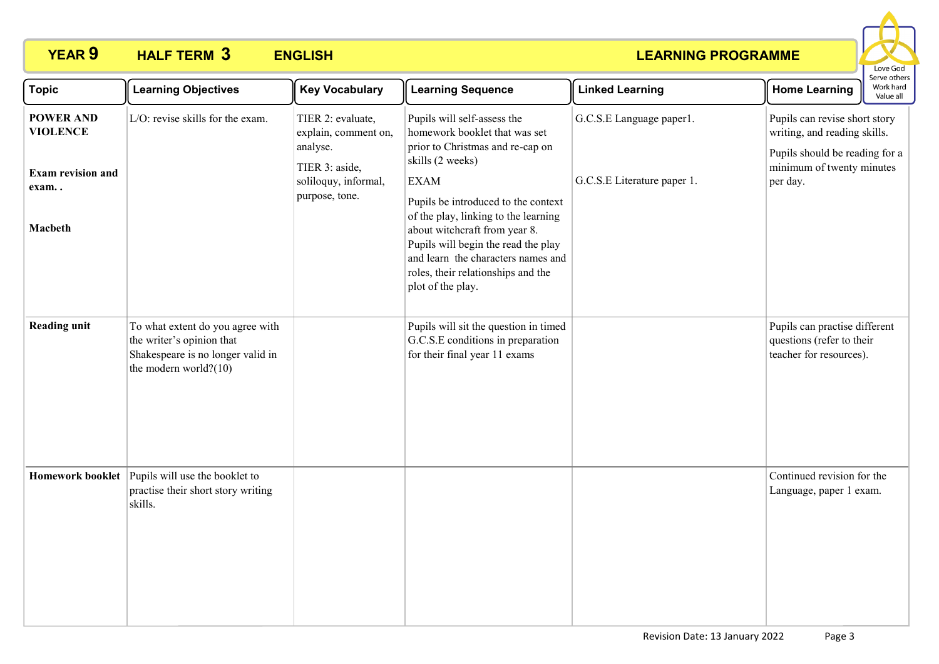

| <b>Topic</b>                        | <b>Learning Objectives</b>                                                                                                  | <b>Key Vocabulary</b>                                                   | <b>Learning Sequence</b>                                                                                                                                                                                                                             | <b>Linked Learning</b>      | serve other:<br>Work hard<br><b>Home Learning</b><br>Value all                                                               |
|-------------------------------------|-----------------------------------------------------------------------------------------------------------------------------|-------------------------------------------------------------------------|------------------------------------------------------------------------------------------------------------------------------------------------------------------------------------------------------------------------------------------------------|-----------------------------|------------------------------------------------------------------------------------------------------------------------------|
| <b>POWER AND</b><br><b>VIOLENCE</b> | L/O: revise skills for the exam.                                                                                            | TIER 2: evaluate,<br>explain, comment on,<br>analyse.<br>TIER 3: aside, | Pupils will self-assess the<br>homework booklet that was set<br>prior to Christmas and re-cap on<br>skills (2 weeks)                                                                                                                                 | G.C.S.E Language paper1.    | Pupils can revise short story<br>writing, and reading skills.<br>Pupils should be reading for a<br>minimum of twenty minutes |
| <b>Exam revision and</b><br>exam    |                                                                                                                             | soliloquy, informal,<br>purpose, tone.                                  | <b>EXAM</b>                                                                                                                                                                                                                                          | G.C.S.E Literature paper 1. | per day.                                                                                                                     |
| Macbeth                             |                                                                                                                             |                                                                         | Pupils be introduced to the context<br>of the play, linking to the learning<br>about witchcraft from year 8.<br>Pupils will begin the read the play<br>and learn the characters names and<br>roles, their relationships and the<br>plot of the play. |                             |                                                                                                                              |
| <b>Reading unit</b>                 | To what extent do you agree with<br>the writer's opinion that<br>Shakespeare is no longer valid in<br>the modern world?(10) |                                                                         | Pupils will sit the question in timed<br>G.C.S.E conditions in preparation<br>for their final year 11 exams                                                                                                                                          |                             | Pupils can practise different<br>questions (refer to their<br>teacher for resources).                                        |
|                                     | Homework booklet Pupils will use the booklet to<br>practise their short story writing<br>skills.                            |                                                                         |                                                                                                                                                                                                                                                      |                             | Continued revision for the<br>Language, paper 1 exam.                                                                        |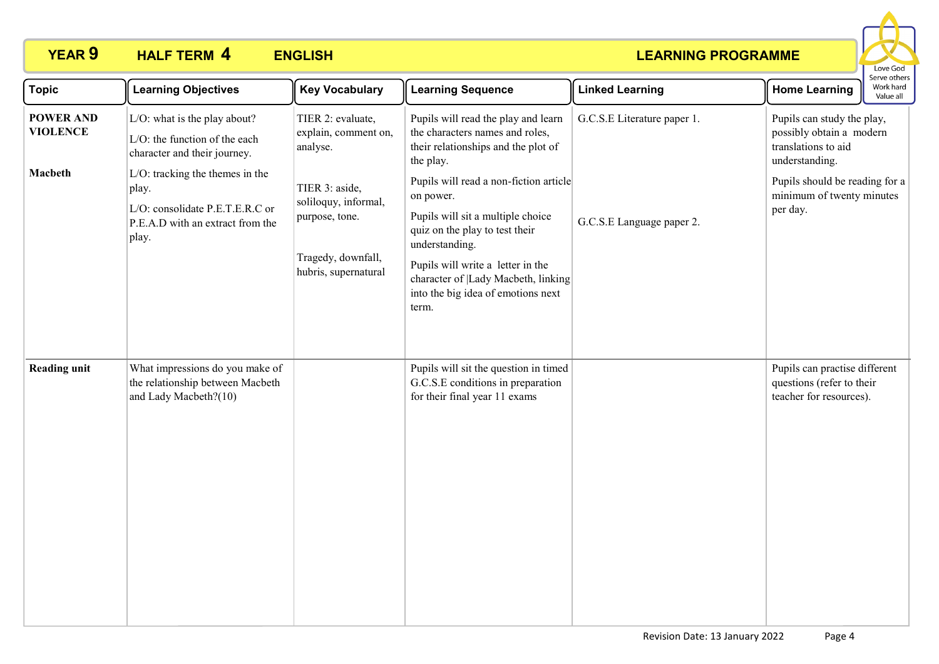

| <b>Topic</b>                        | <b>Learning Objectives</b>                                                                                                  | <b>Key Vocabulary</b>                                                                                  | <b>Learning Sequence</b>                                                                                                                                                                                                                                                | <b>Linked Learning</b>      | <b>Home Learning</b>                                                                            | Serve others<br>Work hard<br>Value all |
|-------------------------------------|-----------------------------------------------------------------------------------------------------------------------------|--------------------------------------------------------------------------------------------------------|-------------------------------------------------------------------------------------------------------------------------------------------------------------------------------------------------------------------------------------------------------------------------|-----------------------------|-------------------------------------------------------------------------------------------------|----------------------------------------|
| <b>POWER AND</b><br><b>VIOLENCE</b> | L/O: what is the play about?<br>L/O: the function of the each<br>character and their journey.                               | TIER 2: evaluate,<br>explain, comment on,<br>analyse.                                                  | Pupils will read the play and learn<br>the characters names and roles,<br>their relationships and the plot of<br>the play.                                                                                                                                              | G.C.S.E Literature paper 1. | Pupils can study the play,<br>possibly obtain a modern<br>translations to aid<br>understanding. |                                        |
| Macbeth                             | $L/O$ : tracking the themes in the<br>play.<br>L/O: consolidate P.E.T.E.R.C or<br>P.E.A.D with an extract from the<br>play. | TIER 3: aside,<br>soliloquy, informal,<br>purpose, tone.<br>Tragedy, downfall,<br>hubris, supernatural | Pupils will read a non-fiction article<br>on power.<br>Pupils will sit a multiple choice<br>quiz on the play to test their<br>understanding.<br>Pupils will write a letter in the<br>character of  Lady Macbeth, linking<br>into the big idea of emotions next<br>term. | G.C.S.E Language paper 2.   | Pupils should be reading for a<br>minimum of twenty minutes<br>per day.                         |                                        |
| <b>Reading unit</b>                 | What impressions do you make of<br>the relationship between Macbeth<br>and Lady Macbeth?(10)                                |                                                                                                        | Pupils will sit the question in timed<br>G.C.S.E conditions in preparation<br>for their final year 11 exams                                                                                                                                                             |                             | Pupils can practise different<br>questions (refer to their<br>teacher for resources).           |                                        |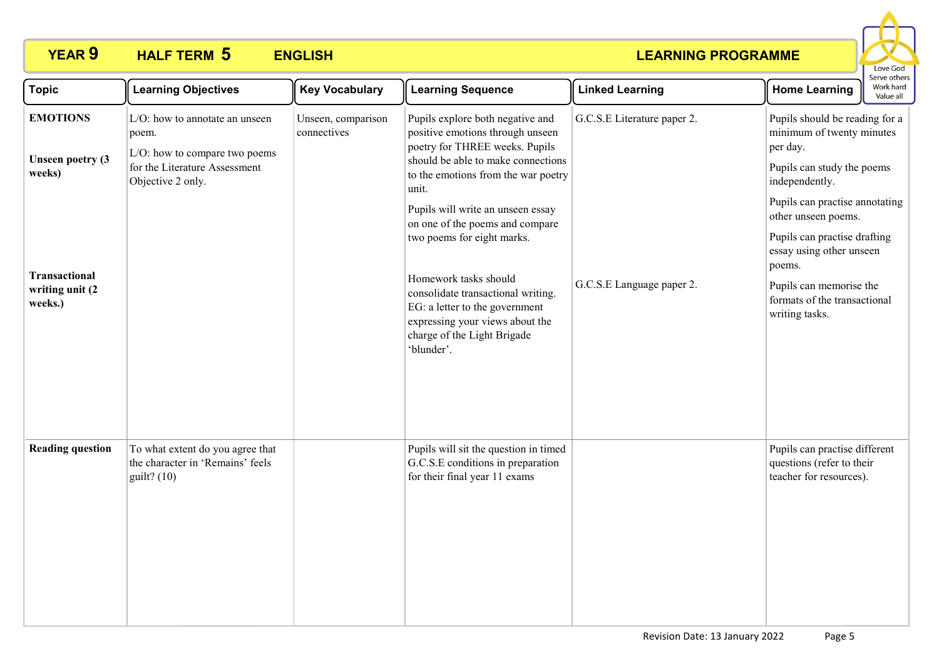

| <b>Topic</b>                                          | <b>Learning Objectives</b>                                                                                                     | <b>Key Vocabulary</b>             | <b>Learning Sequence</b>                                                                                                                                                                     | <b>Linked Learning</b>      | erve other<br>Work hard<br><b>Home Learning</b><br>Value all                                                                |
|-------------------------------------------------------|--------------------------------------------------------------------------------------------------------------------------------|-----------------------------------|----------------------------------------------------------------------------------------------------------------------------------------------------------------------------------------------|-----------------------------|-----------------------------------------------------------------------------------------------------------------------------|
| <b>EMOTIONS</b><br><b>Unseen poetry (3)</b><br>weeks) | L/O: how to annotate an unseen<br>poem.<br>L/O: how to compare two poems<br>for the Literature Assessment<br>Objective 2 only. | Unseen, comparison<br>connectives | Pupils explore both negative and<br>positive emotions through unseen<br>poetry for THREE weeks. Pupils<br>should be able to make connections<br>to the emotions from the war poetry<br>unit. | G.C.S.E Literature paper 2. | Pupils should be reading for a<br>minimum of twenty minutes<br>per day.<br>Pupils can study the poems<br>independently.     |
|                                                       |                                                                                                                                |                                   | Pupils will write an unseen essay<br>on one of the poems and compare<br>two poems for eight marks.                                                                                           |                             | Pupils can practise annotating<br>other unseen poems.<br>Pupils can practise drafting<br>essay using other unseen<br>poems. |
| <b>Transactional</b><br>writing unit (2)<br>weeks.)   |                                                                                                                                |                                   | Homework tasks should<br>consolidate transactional writing.<br>EG: a letter to the government<br>expressing your views about the<br>charge of the Light Brigade<br>'blunder'.                | G.C.S.E Language paper 2.   | Pupils can memorise the<br>formats of the transactional<br>writing tasks.                                                   |
| <b>Reading question</b>                               | To what extent do you agree that<br>the character in 'Remains' feels<br>$guit?$ (10)                                           |                                   | Pupils will sit the question in timed<br>G.C.S.E conditions in preparation<br>for their final year 11 exams                                                                                  |                             | Pupils can practise different<br>questions (refer to their<br>teacher for resources).                                       |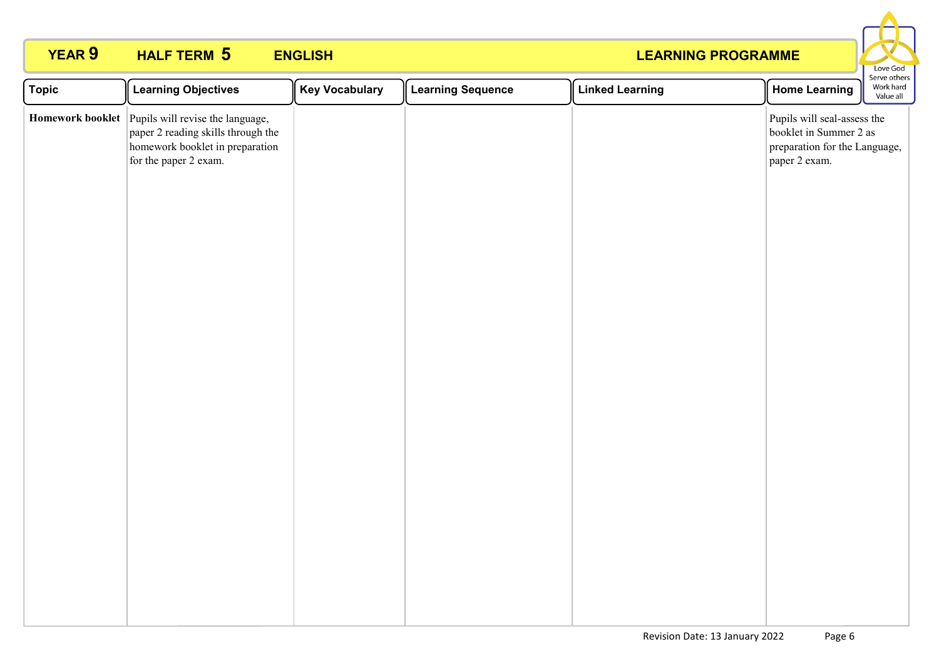

| <b>Topic</b> | <b>Learning Objectives</b>                                                                                                                          | <b>Key Vocabulary</b> | <b>Learning Sequence</b> | <b>Linked Learning</b> | <b>Home Learning</b>                                                                                    | serve otriers<br>Work hard<br>Value all |
|--------------|-----------------------------------------------------------------------------------------------------------------------------------------------------|-----------------------|--------------------------|------------------------|---------------------------------------------------------------------------------------------------------|-----------------------------------------|
|              | Homework booklet Pupils will revise the language,<br>paper 2 reading skills through the<br>homework booklet in preparation<br>for the paper 2 exam. |                       |                          |                        | Pupils will seal-assess the<br>booklet in Summer 2 as<br>preparation for the Language,<br>paper 2 exam. |                                         |
|              |                                                                                                                                                     |                       |                          |                        |                                                                                                         |                                         |
|              |                                                                                                                                                     |                       |                          |                        |                                                                                                         |                                         |
|              |                                                                                                                                                     |                       |                          |                        |                                                                                                         |                                         |
|              |                                                                                                                                                     |                       |                          |                        |                                                                                                         |                                         |
|              |                                                                                                                                                     |                       |                          |                        |                                                                                                         |                                         |
|              |                                                                                                                                                     |                       |                          |                        |                                                                                                         |                                         |